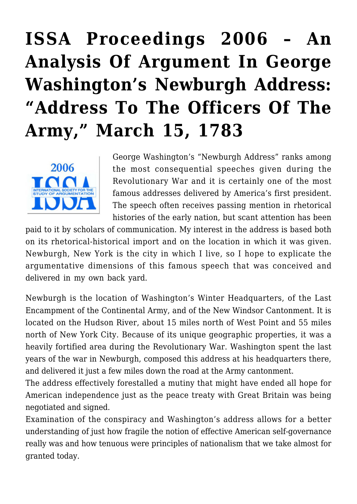# **[ISSA Proceedings 2006 – An](https://rozenbergquarterly.com/issa-proceedings-2006-an-analysis-of-argument-in-george-washingtons-newburgh-address-address-to-the-officers-of-the-army-march-15-1783/) [Analysis Of Argument In George](https://rozenbergquarterly.com/issa-proceedings-2006-an-analysis-of-argument-in-george-washingtons-newburgh-address-address-to-the-officers-of-the-army-march-15-1783/) [Washington's Newburgh Address:](https://rozenbergquarterly.com/issa-proceedings-2006-an-analysis-of-argument-in-george-washingtons-newburgh-address-address-to-the-officers-of-the-army-march-15-1783/) ["Address To The Officers Of The](https://rozenbergquarterly.com/issa-proceedings-2006-an-analysis-of-argument-in-george-washingtons-newburgh-address-address-to-the-officers-of-the-army-march-15-1783/) [Army," March 15, 1783](https://rozenbergquarterly.com/issa-proceedings-2006-an-analysis-of-argument-in-george-washingtons-newburgh-address-address-to-the-officers-of-the-army-march-15-1783/)**



George Washington's "Newburgh Address" ranks among the most consequential speeches given during the Revolutionary War and it is certainly one of the most famous addresses delivered by America's first president. The speech often receives passing mention in rhetorical histories of the early nation, but scant attention has been

paid to it by scholars of communication. My interest in the address is based both on its rhetorical-historical import and on the location in which it was given. Newburgh, New York is the city in which I live, so I hope to explicate the argumentative dimensions of this famous speech that was conceived and delivered in my own back yard.

Newburgh is the location of Washington's Winter Headquarters, of the Last Encampment of the Continental Army, and of the New Windsor Cantonment. It is located on the Hudson River, about 15 miles north of West Point and 55 miles north of New York City. Because of its unique geographic properties, it was a heavily fortified area during the Revolutionary War. Washington spent the last years of the war in Newburgh, composed this address at his headquarters there, and delivered it just a few miles down the road at the Army cantonment.

The address effectively forestalled a mutiny that might have ended all hope for American independence just as the peace treaty with Great Britain was being negotiated and signed.

Examination of the conspiracy and Washington's address allows for a better understanding of just how fragile the notion of effective American self-governance really was and how tenuous were principles of nationalism that we take almost for granted today.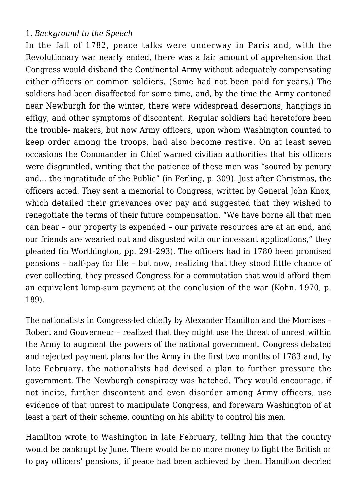### 1. *Background to the Speech*

In the fall of 1782, peace talks were underway in Paris and, with the Revolutionary war nearly ended, there was a fair amount of apprehension that Congress would disband the Continental Army without adequately compensating either officers or common soldiers. (Some had not been paid for years.) The soldiers had been disaffected for some time, and, by the time the Army cantoned near Newburgh for the winter, there were widespread desertions, hangings in effigy, and other symptoms of discontent. Regular soldiers had heretofore been the trouble- makers, but now Army officers, upon whom Washington counted to keep order among the troops, had also become restive. On at least seven occasions the Commander in Chief warned civilian authorities that his officers were disgruntled, writing that the patience of these men was "soured by penury and… the ingratitude of the Public" (in Ferling, p. 309). Just after Christmas, the officers acted. They sent a memorial to Congress, written by General John Knox, which detailed their grievances over pay and suggested that they wished to renegotiate the terms of their future compensation. "We have borne all that men can bear – our property is expended – our private resources are at an end, and our friends are wearied out and disgusted with our incessant applications," they pleaded (in Worthington, pp. 291-293). The officers had in 1780 been promised pensions – half-pay for life – but now, realizing that they stood little chance of ever collecting, they pressed Congress for a commutation that would afford them an equivalent lump-sum payment at the conclusion of the war (Kohn, 1970, p. 189).

The nationalists in Congress-led chiefly by Alexander Hamilton and the Morrises – Robert and Gouverneur – realized that they might use the threat of unrest within the Army to augment the powers of the national government. Congress debated and rejected payment plans for the Army in the first two months of 1783 and, by late February, the nationalists had devised a plan to further pressure the government. The Newburgh conspiracy was hatched. They would encourage, if not incite, further discontent and even disorder among Army officers, use evidence of that unrest to manipulate Congress, and forewarn Washington of at least a part of their scheme, counting on his ability to control his men.

Hamilton wrote to Washington in late February, telling him that the country would be bankrupt by June. There would be no more money to fight the British or to pay officers' pensions, if peace had been achieved by then. Hamilton decried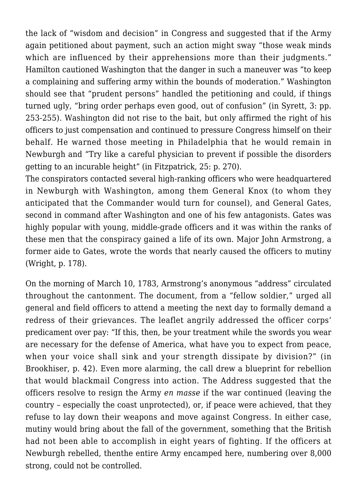the lack of "wisdom and decision" in Congress and suggested that if the Army again petitioned about payment, such an action might sway "those weak minds which are influenced by their apprehensions more than their judgments." Hamilton cautioned Washington that the danger in such a maneuver was "to keep a complaining and suffering army within the bounds of moderation." Washington should see that "prudent persons" handled the petitioning and could, if things turned ugly, "bring order perhaps even good, out of confusion" (in Syrett, 3: pp. 253-255). Washington did not rise to the bait, but only affirmed the right of his officers to just compensation and continued to pressure Congress himself on their behalf. He warned those meeting in Philadelphia that he would remain in Newburgh and "Try like a careful physician to prevent if possible the disorders getting to an incurable height" (in Fitzpatrick, 25: p. 270).

The conspirators contacted several high-ranking officers who were headquartered in Newburgh with Washington, among them General Knox (to whom they anticipated that the Commander would turn for counsel), and General Gates, second in command after Washington and one of his few antagonists. Gates was highly popular with young, middle-grade officers and it was within the ranks of these men that the conspiracy gained a life of its own. Major John Armstrong, a former aide to Gates, wrote the words that nearly caused the officers to mutiny (Wright, p. 178).

On the morning of March 10, 1783, Armstrong's anonymous "address" circulated throughout the cantonment. The document, from a "fellow soldier," urged all general and field officers to attend a meeting the next day to formally demand a redress of their grievances. The leaflet angrily addressed the officer corps' predicament over pay: "If this, then, be your treatment while the swords you wear are necessary for the defense of America, what have you to expect from peace, when your voice shall sink and your strength dissipate by division?" (in Brookhiser, p. 42). Even more alarming, the call drew a blueprint for rebellion that would blackmail Congress into action. The Address suggested that the officers resolve to resign the Army *en masse* if the war continued (leaving the country – especially the coast unprotected), or, if peace were achieved, that they refuse to lay down their weapons and move against Congress. In either case, mutiny would bring about the fall of the government, something that the British had not been able to accomplish in eight years of fighting. If the officers at Newburgh rebelled, thenthe entire Army encamped here, numbering over 8,000 strong, could not be controlled.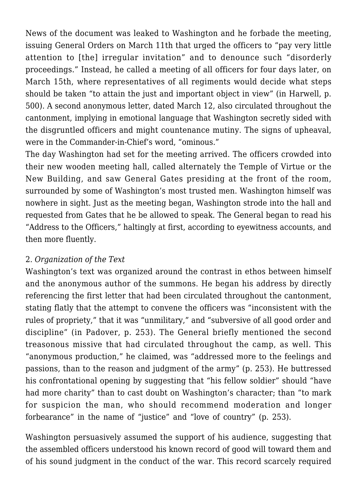News of the document was leaked to Washington and he forbade the meeting, issuing General Orders on March 11th that urged the officers to "pay very little attention to [the] irregular invitation" and to denounce such "disorderly proceedings." Instead, he called a meeting of all officers for four days later, on March 15th, where representatives of all regiments would decide what steps should be taken "to attain the just and important object in view" (in Harwell, p. 500). A second anonymous letter, dated March 12, also circulated throughout the cantonment, implying in emotional language that Washington secretly sided with the disgruntled officers and might countenance mutiny. The signs of upheaval, were in the Commander-in-Chief's word, "ominous."

The day Washington had set for the meeting arrived. The officers crowded into their new wooden meeting hall, called alternately the Temple of Virtue or the New Building, and saw General Gates presiding at the front of the room, surrounded by some of Washington's most trusted men. Washington himself was nowhere in sight. Just as the meeting began, Washington strode into the hall and requested from Gates that he be allowed to speak. The General began to read his "Address to the Officers," haltingly at first, according to eyewitness accounts, and then more fluently.

# 2. *Organization of the Text*

Washington's text was organized around the contrast in ethos between himself and the anonymous author of the summons. He began his address by directly referencing the first letter that had been circulated throughout the cantonment, stating flatly that the attempt to convene the officers was "inconsistent with the rules of propriety," that it was "unmilitary," and "subversive of all good order and discipline" (in Padover, p. 253). The General briefly mentioned the second treasonous missive that had circulated throughout the camp, as well. This "anonymous production," he claimed, was "addressed more to the feelings and passions, than to the reason and judgment of the army" (p. 253). He buttressed his confrontational opening by suggesting that "his fellow soldier" should "have had more charity" than to cast doubt on Washington's character; than "to mark for suspicion the man, who should recommend moderation and longer forbearance" in the name of "justice" and "love of country" (p. 253).

Washington persuasively assumed the support of his audience, suggesting that the assembled officers understood his known record of good will toward them and of his sound judgment in the conduct of the war. This record scarcely required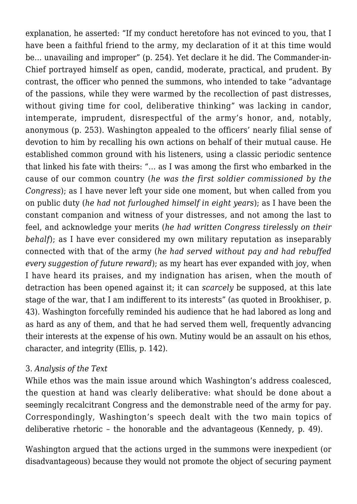explanation, he asserted: "If my conduct heretofore has not evinced to you, that I have been a faithful friend to the army, my declaration of it at this time would be… unavailing and improper" (p. 254). Yet declare it he did. The Commander-in-Chief portrayed himself as open, candid, moderate, practical, and prudent. By contrast, the officer who penned the summons, who intended to take "advantage of the passions, while they were warmed by the recollection of past distresses, without giving time for cool, deliberative thinking" was lacking in candor, intemperate, imprudent, disrespectful of the army's honor, and, notably, anonymous (p. 253). Washington appealed to the officers' nearly filial sense of devotion to him by recalling his own actions on behalf of their mutual cause. He established common ground with his listeners, using a classic periodic sentence that linked his fate with theirs: "… as I was among the first who embarked in the cause of our common country (*he was the first soldier commissioned by the Congress*); as I have never left your side one moment, but when called from you on public duty (*he had not furloughed himself in eight years*); as I have been the constant companion and witness of your distresses, and not among the last to feel, and acknowledge your merits (*he had written Congress tirelessly on their behalf*); as I have ever considered my own military reputation as inseparably connected with that of the army (*he had served without pay and had rebuffed every suggestion of future reward*); as my heart has ever expanded with joy, when I have heard its praises, and my indignation has arisen, when the mouth of detraction has been opened against it; it can *scarcely* be supposed, at this late stage of the war, that I am indifferent to its interests" (as quoted in Brookhiser, p. 43). Washington forcefully reminded his audience that he had labored as long and as hard as any of them, and that he had served them well, frequently advancing their interests at the expense of his own. Mutiny would be an assault on his ethos, character, and integrity (Ellis, p. 142).

#### 3. *Analysis of the Text*

While ethos was the main issue around which Washington's address coalesced, the question at hand was clearly deliberative: what should be done about a seemingly recalcitrant Congress and the demonstrable need of the army for pay. Correspondingly, Washington's speech dealt with the two main topics of deliberative rhetoric – the honorable and the advantageous (Kennedy, p. 49).

Washington argued that the actions urged in the summons were inexpedient (or disadvantageous) because they would not promote the object of securing payment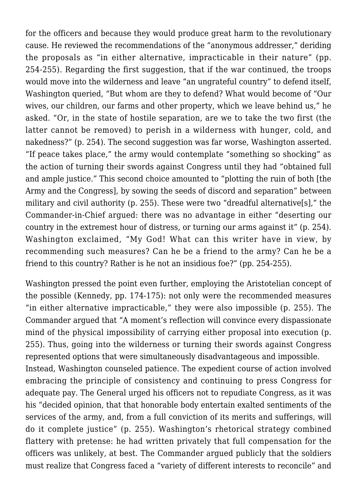for the officers and because they would produce great harm to the revolutionary cause. He reviewed the recommendations of the "anonymous addresser," deriding the proposals as "in either alternative, impracticable in their nature" (pp. 254-255). Regarding the first suggestion, that if the war continued, the troops would move into the wilderness and leave "an ungrateful country" to defend itself, Washington queried, "But whom are they to defend? What would become of "Our wives, our children, our farms and other property, which we leave behind us," he asked. "Or, in the state of hostile separation, are we to take the two first (the latter cannot be removed) to perish in a wilderness with hunger, cold, and nakedness?" (p. 254). The second suggestion was far worse, Washington asserted. "If peace takes place," the army would contemplate "something so shocking" as the action of turning their swords against Congress until they had "obtained full and ample justice." This second choice amounted to "plotting the ruin of both [the Army and the Congress], by sowing the seeds of discord and separation" between military and civil authority (p. 255). These were two "dreadful alternative[s]," the Commander-in-Chief argued: there was no advantage in either "deserting our country in the extremest hour of distress, or turning our arms against it" (p. 254). Washington exclaimed, "My God! What can this writer have in view, by recommending such measures? Can he be a friend to the army? Can he be a friend to this country? Rather is he not an insidious foe?" (pp. 254-255).

Washington pressed the point even further, employing the Aristotelian concept of the possible (Kennedy, pp. 174-175): not only were the recommended measures "in either alternative impracticable," they were also impossible (p. 255). The Commander argued that "A moment's reflection will convince every dispassionate mind of the physical impossibility of carrying either proposal into execution (p. 255). Thus, going into the wilderness or turning their swords against Congress represented options that were simultaneously disadvantageous and impossible.

Instead, Washington counseled patience. The expedient course of action involved embracing the principle of consistency and continuing to press Congress for adequate pay. The General urged his officers not to repudiate Congress, as it was his "decided opinion, that that honorable body entertain exalted sentiments of the services of the army, and, from a full conviction of its merits and sufferings, will do it complete justice" (p. 255). Washington's rhetorical strategy combined flattery with pretense: he had written privately that full compensation for the officers was unlikely, at best. The Commander argued publicly that the soldiers must realize that Congress faced a "variety of different interests to reconcile" and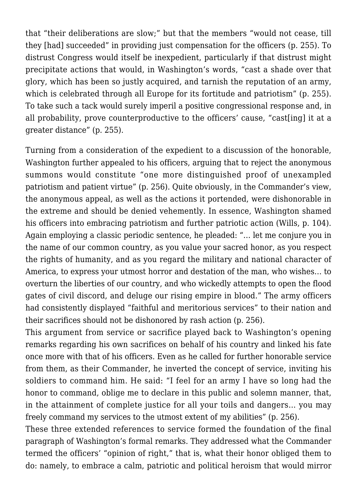that "their deliberations are slow;" but that the members "would not cease, till they [had] succeeded" in providing just compensation for the officers (p. 255). To distrust Congress would itself be inexpedient, particularly if that distrust might precipitate actions that would, in Washington's words, "cast a shade over that glory, which has been so justly acquired, and tarnish the reputation of an army, which is celebrated through all Europe for its fortitude and patriotism" (p. 255). To take such a tack would surely imperil a positive congressional response and, in all probability, prove counterproductive to the officers' cause, "cast[ing] it at a greater distance" (p. 255).

Turning from a consideration of the expedient to a discussion of the honorable, Washington further appealed to his officers, arguing that to reject the anonymous summons would constitute "one more distinguished proof of unexampled patriotism and patient virtue" (p. 256). Quite obviously, in the Commander's view, the anonymous appeal, as well as the actions it portended, were dishonorable in the extreme and should be denied vehemently. In essence, Washington shamed his officers into embracing patriotism and further patriotic action (Wills, p. 104). Again employing a classic periodic sentence, he pleaded: "… let me conjure you in the name of our common country, as you value your sacred honor, as you respect the rights of humanity, and as you regard the military and national character of America, to express your utmost horror and destation of the man, who wishes… to overturn the liberties of our country, and who wickedly attempts to open the flood gates of civil discord, and deluge our rising empire in blood." The army officers had consistently displayed "faithful and meritorious services" to their nation and their sacrifices should not be dishonored by rash action (p. 256).

This argument from service or sacrifice played back to Washington's opening remarks regarding his own sacrifices on behalf of his country and linked his fate once more with that of his officers. Even as he called for further honorable service from them, as their Commander, he inverted the concept of service, inviting his soldiers to command him. He said: "I feel for an army I have so long had the honor to command, oblige me to declare in this public and solemn manner, that, in the attainment of complete justice for all your toils and dangers… you may freely command my services to the utmost extent of my abilities" (p. 256).

These three extended references to service formed the foundation of the final paragraph of Washington's formal remarks. They addressed what the Commander termed the officers' "opinion of right," that is, what their honor obliged them to do: namely, to embrace a calm, patriotic and political heroism that would mirror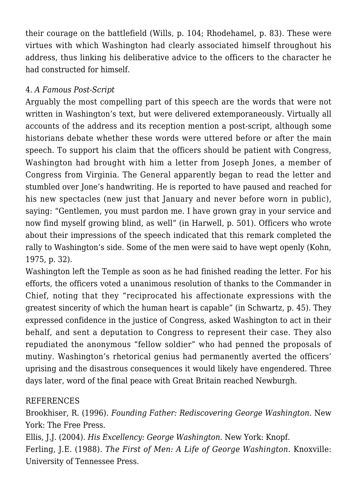their courage on the battlefield (Wills, p. 104; Rhodehamel, p. 83). These were virtues with which Washington had clearly associated himself throughout his address, thus linking his deliberative advice to the officers to the character he had constructed for himself.

# 4. *A Famous Post-Script*

Arguably the most compelling part of this speech are the words that were not written in Washington's text, but were delivered extemporaneously. Virtually all accounts of the address and its reception mention a post-script, although some historians debate whether these words were uttered before or after the main speech. To support his claim that the officers should be patient with Congress, Washington had brought with him a letter from Joseph Jones, a member of Congress from Virginia. The General apparently began to read the letter and stumbled over Jone's handwriting. He is reported to have paused and reached for his new spectacles (new just that January and never before worn in public), saying: "Gentlemen, you must pardon me. I have grown gray in your service and now find myself growing blind, as well" (in Harwell, p. 501). Officers who wrote about their impressions of the speech indicated that this remark completed the rally to Washington's side. Some of the men were said to have wept openly (Kohn, 1975, p. 32).

Washington left the Temple as soon as he had finished reading the letter. For his efforts, the officers voted a unanimous resolution of thanks to the Commander in Chief, noting that they "reciprocated his affectionate expressions with the greatest sincerity of which the human heart is capable" (in Schwartz, p. 45). They expressed confidence in the justice of Congress, asked Washington to act in their behalf, and sent a deputation to Congress to represent their case. They also repudiated the anonymous "fellow soldier" who had penned the proposals of mutiny. Washington's rhetorical genius had permanently averted the officers' uprising and the disastrous consequences it would likely have engendered. Three days later, word of the final peace with Great Britain reached Newburgh.

# REFERENCES

Brookhiser, R. (1996). *Founding Father: Rediscovering George Washington.* New York: The Free Press.

Ellis, J.J. (2004). *His Excellency: George Washington*. New York: Knopf. Ferling, J.E. (1988). *The First of Men: A Life of George Washington.* Knoxville: University of Tennessee Press.